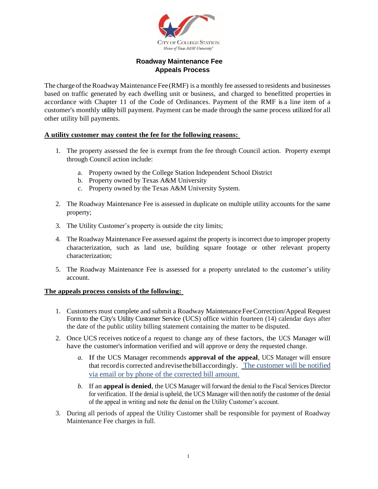

# **Roadway Maintenance Fee Appeals Process**

The charge of the Roadway Maintenance Fee (RMF) is a monthly fee assessed to residents and businesses based on traffic generated by each dwelling unit or business, and charged to benefitted properties in accordance with Chapter 11 of the Code of Ordinances. Payment of the RMF is a line item of a customer's monthly utility bill payment. Payment can be made through the same process utilized for all other utility bill payments.

## **A utility customer may contest the fee for the following reasons:**

- 1. The property assessed the fee is exempt from the fee through Council action. Property exempt through Council action include:
	- a. Property owned by the College Station Independent School District
	- b. Property owned by Texas A&M University
	- c. Property owned by the Texas A&M University System.
- 2. The Roadway Maintenance Fee is assessed in duplicate on multiple utility accounts for the same property;
- 3. The Utility Customer's property is outside the city limits;
- 4. The Roadway Maintenance Fee assessed against the property is incorrect due to improper property characterization, such as land use, building square footage or other relevant property characterization;
- 5. The Roadway Maintenance Fee is assessed for a property unrelated to the customer's utility account.

## **The appeals process consists of the following:**

- 1. Customers must complete and submit a Roadway Maintenance Fee Correction/Appeal Request Formto the City's Utility Customer Service (UCS) office within fourteen (14) calendar days after the date of the public utility billing statement containing the matter to be disputed.
- 2. Once UCS receives notice of a request to change any of these factors, the UCS Manager will have the customer's information verified and will approve or deny the requested change.
	- *a.* If the UCS Manager recommends **approval of the appeal**, UCS Manager will ensure that recordis corrected andrevisethebillaccordingly. The customer will be notified via email or by phone of the corrected bill amount.
	- *b.* If an **appeal is denied**, the UCS Manager will forward the denial to the Fiscal Services Director for verification. If the denial is upheld, the UCS Manager will then notify the customer of the denial of the appeal in writing and note the denial on the Utility Customer's account.
- 3. During all periods of appeal the Utility Customer shall be responsible for payment of Roadway Maintenance Fee charges in full.